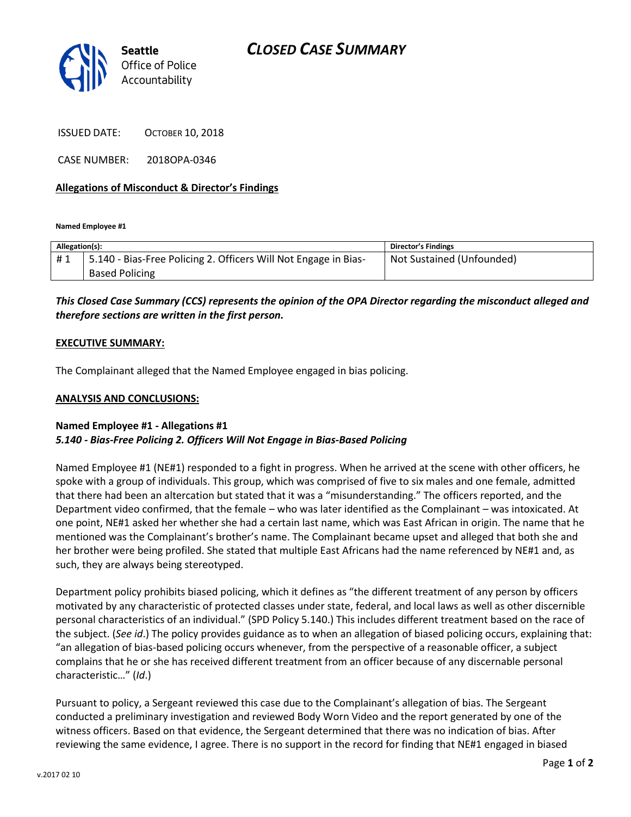## *CLOSED CASE SUMMARY*



ISSUED DATE: OCTOBER 10, 2018

CASE NUMBER: 2018OPA-0346

#### **Allegations of Misconduct & Director's Findings**

**Named Employee #1**

| Allegation(s): |                                                                   | <b>Director's Findings</b> |
|----------------|-------------------------------------------------------------------|----------------------------|
| #1             | 1 5.140 - Bias-Free Policing 2. Officers Will Not Engage in Bias- | Not Sustained (Unfounded)  |
|                | <b>Based Policing</b>                                             |                            |

### *This Closed Case Summary (CCS) represents the opinion of the OPA Director regarding the misconduct alleged and therefore sections are written in the first person.*

#### **EXECUTIVE SUMMARY:**

The Complainant alleged that the Named Employee engaged in bias policing.

#### **ANALYSIS AND CONCLUSIONS:**

#### **Named Employee #1 - Allegations #1** *5.140 - Bias-Free Policing 2. Officers Will Not Engage in Bias-Based Policing*

Named Employee #1 (NE#1) responded to a fight in progress. When he arrived at the scene with other officers, he spoke with a group of individuals. This group, which was comprised of five to six males and one female, admitted that there had been an altercation but stated that it was a "misunderstanding." The officers reported, and the Department video confirmed, that the female – who was later identified as the Complainant – was intoxicated. At one point, NE#1 asked her whether she had a certain last name, which was East African in origin. The name that he mentioned was the Complainant's brother's name. The Complainant became upset and alleged that both she and her brother were being profiled. She stated that multiple East Africans had the name referenced by NE#1 and, as such, they are always being stereotyped.

Department policy prohibits biased policing, which it defines as "the different treatment of any person by officers motivated by any characteristic of protected classes under state, federal, and local laws as well as other discernible personal characteristics of an individual." (SPD Policy 5.140.) This includes different treatment based on the race of the subject. (*See id*.) The policy provides guidance as to when an allegation of biased policing occurs, explaining that: "an allegation of bias-based policing occurs whenever, from the perspective of a reasonable officer, a subject complains that he or she has received different treatment from an officer because of any discernable personal characteristic…" (*Id*.)

Pursuant to policy, a Sergeant reviewed this case due to the Complainant's allegation of bias. The Sergeant conducted a preliminary investigation and reviewed Body Worn Video and the report generated by one of the witness officers. Based on that evidence, the Sergeant determined that there was no indication of bias. After reviewing the same evidence, I agree. There is no support in the record for finding that NE#1 engaged in biased